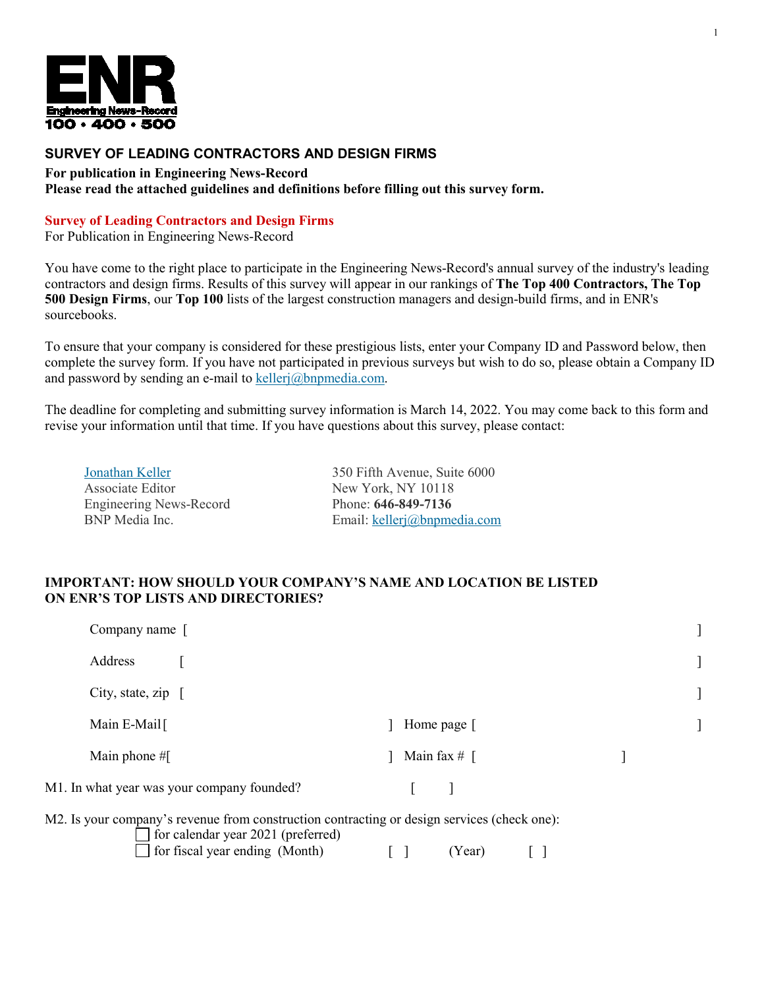

# **SURVEY OF LEADING CONTRACTORS AND DESIGN FIRMS**

**For publication in Engineering News-Record Please read the attached guidelines and definitions before filling out this survey form.**

#### **Survey of Leading Contractors and Design Firms**

For Publication in Engineering News-Record

You have come to the right place to participate in the Engineering News-Record's annual survey of the industry's leading contractors and design firms. Results of this survey will appear in our rankings of **The Top 400 Contractors, The Top 500 Design Firms**, our **Top 100** lists of the largest construction managers and design-build firms, and in ENR's sourcebooks.

To ensure that your company is considered for these prestigious lists, enter your Company ID and Password below, then complete the survey form. If you have not participated in previous surveys but wish to do so, please obtain a Company ID and password by sending an e-mail to [kellerj@bnpmedia.com.](mailto:kellerj@bnpmedia.com)

The deadline for completing and submitting survey information is March 14, 2022. You may come back to this form and revise your information until that time. If you have questions about this survey, please contact:

[Jonathan](mailto:gary.tulacz@mhfi.com) Keller Associate Editor Engineering News-Record BNP Media Inc.

350 Fifth Avenue, Suite 6000 New York, NY 10118 Phone: **646-849-7136** Email: [kellerj@bnpmedia.com](mailto:kellerj@bnpmedia.com) 1

#### **IMPORTANT: HOW SHOULD YOUR COMPANY'S NAME AND LOCATION BE LISTED ON ENR'S TOP LISTS AND DIRECTORIES?**

for calendar year 2021 (preferred)

| Company name [                                                                              |                |  |
|---------------------------------------------------------------------------------------------|----------------|--|
| Address                                                                                     |                |  |
| City, state, zip $\lceil$                                                                   |                |  |
| Main E-Mail                                                                                 | Home page [    |  |
| Main phone $#$ [                                                                            | Main fax $#$ [ |  |
| M1. In what year was your company founded?                                                  |                |  |
| M2. Is your company's revenue from construction contracting or design services (check one): |                |  |

 $\Box$  for fiscal year ending (Month)  $\Box$  [ ] (Year)  $\Box$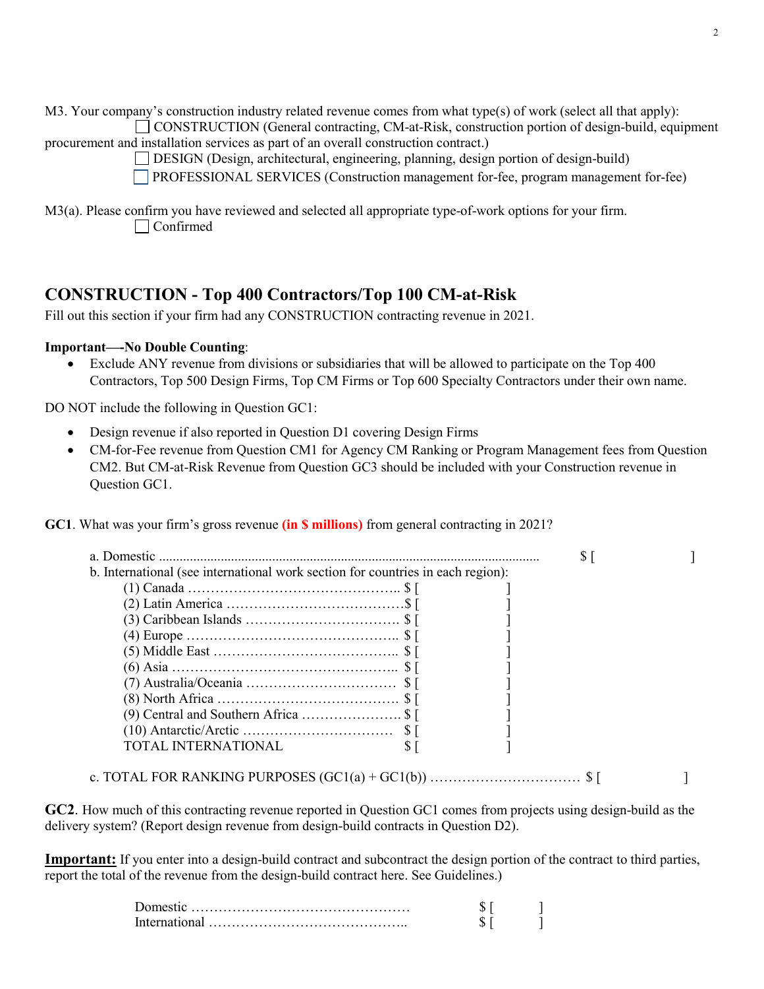M3. Your company's construction industry related revenue comes from what type(s) of work (select all that apply): CONSTRUCTION (General contracting, CM-at-Risk, construction portion of design-build, equipment

procurement and installation services as part of an overall construction contract.)

DESIGN (Design, architectural, engineering, planning, design portion of design-build)

PROFESSIONAL SERVICES (Construction management for-fee, program management for-fee)

M3(a). Please confirm you have reviewed and selected all appropriate type-of-work options for your firm. Confirmed

# **CONSTRUCTION - Top 400 Contractors/Top 100 CM-at-Risk**

Fill out this section if your firm had any CONSTRUCTION contracting revenue in 2021.

# **Important—-No Double Counting**:

• Exclude ANY revenue from divisions or subsidiaries that will be allowed to participate on the Top 400 Contractors, Top 500 Design Firms, Top CM Firms or Top 600 Specialty Contractors under their own name.

DO NOT include the following in Question GC1:

- Design revenue if also reported in Question D1 covering Design Firms
- CM-for-Fee revenue from Question CM1 for Agency CM Ranking or Program Management fees from Question CM2. But CM-at-Risk Revenue from Question GC3 should be included with your Construction revenue in Question GC1.

**GC1**. What was your firm's gross revenue **(in \$ millions)** from general contracting in 2021?

| b. International (see international work section for countries in each region): |  |  |
|---------------------------------------------------------------------------------|--|--|
|                                                                                 |  |  |
|                                                                                 |  |  |
|                                                                                 |  |  |
|                                                                                 |  |  |
|                                                                                 |  |  |
|                                                                                 |  |  |
|                                                                                 |  |  |
|                                                                                 |  |  |
|                                                                                 |  |  |
|                                                                                 |  |  |
| TOTAL INTERNATIONAL                                                             |  |  |

c. TOTAL FOR RANKING PURPOSES (GC1(a) + GC1(b)) …………………………… \$ [ ]

**GC2**. How much of this contracting revenue reported in Question GC1 comes from projects using design-build as the delivery system? (Report design revenue from design-build contracts in Question D2).

**Important:** If you enter into a design-build contract and subcontract the design portion of the contract to third parties, report the total of the revenue from the design-build contract here. See Guidelines.)

| $\overline{\phantom{a}}$ |  |
|--------------------------|--|
| Interna                  |  |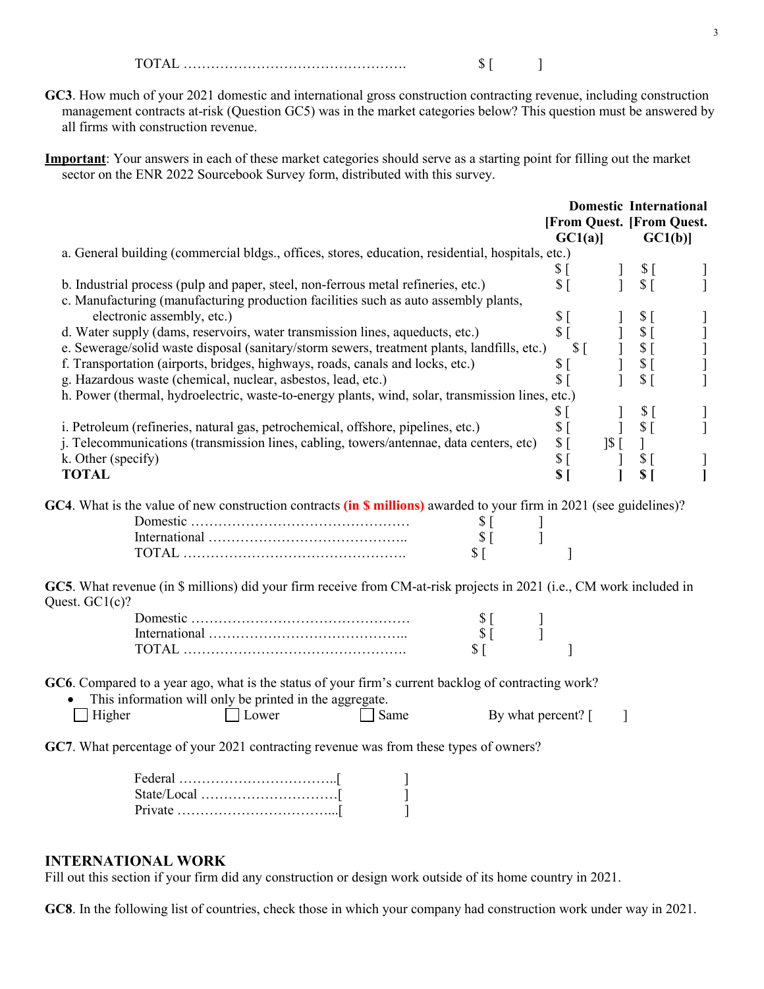$\text{TOTAL} \quad \text{S}$ [ ]

**GC3**. How much of your 2021 domestic and international gross construction contracting revenue, including construction management contracts at-risk (Question GC5) was in the market categories below? This question must be answered by all firms with construction revenue.

**Important**: Your answers in each of these market categories should serve as a starting point for filling out the market sector on the ENR 2022 Sourcebook Survey form, distributed with this survey.

|                                                                                                                                                                                                                 |                                     |                                | <b>Domestic International</b> |  |
|-----------------------------------------------------------------------------------------------------------------------------------------------------------------------------------------------------------------|-------------------------------------|--------------------------------|-------------------------------|--|
|                                                                                                                                                                                                                 | [From Quest. [From Quest.<br>GCl(a) |                                | GCl(b)                        |  |
| a. General building (commercial bldgs., offices, stores, education, residential, hospitals, etc.)                                                                                                               |                                     |                                |                               |  |
|                                                                                                                                                                                                                 | \$[                                 | $\mathbf{I}$                   | $S_{\Gamma}$                  |  |
| b. Industrial process (pulp and paper, steel, non-ferrous metal refineries, etc.)                                                                                                                               | $S_{\perp}$                         |                                | $$^{[}$                       |  |
| c. Manufacturing (manufacturing production facilities such as auto assembly plants,                                                                                                                             |                                     |                                |                               |  |
| electronic assembly, etc.)                                                                                                                                                                                      | $\sqrt{$}$ [                        |                                | $$^{[}$                       |  |
| d. Water supply (dams, reservoirs, water transmission lines, aqueducts, etc.)                                                                                                                                   | $S_{\Box}$                          | $\mathbf{I}$                   | $$^{[}$                       |  |
| e. Sewerage/solid waste disposal (sanitary/storm sewers, treatment plants, landfills, etc.)                                                                                                                     | $S_{\Gamma}$                        | $\begin{array}{c} \end{array}$ | \$[                           |  |
| f. Transportation (airports, bridges, highways, roads, canals and locks, etc.)                                                                                                                                  | \$[                                 | $\mathbf{I}$                   | \$[                           |  |
| g. Hazardous waste (chemical, nuclear, asbestos, lead, etc.)                                                                                                                                                    | $$$ [                               |                                | \$[                           |  |
| h. Power (thermal, hydroelectric, waste-to-energy plants, wind, solar, transmission lines, etc.)                                                                                                                |                                     |                                |                               |  |
|                                                                                                                                                                                                                 | \$[                                 |                                | \$[                           |  |
| i. Petroleum (refineries, natural gas, petrochemical, offshore, pipelines, etc.)                                                                                                                                | S <sub>1</sub>                      |                                | S <sub>1</sub>                |  |
| j. Telecommunications (transmission lines, cabling, towers/antennae, data centers, etc)                                                                                                                         | $\sqrt{5}$<br>$\frac{1}{2}$ [       |                                | $\mathbf{I}$                  |  |
| k. Other (specify)                                                                                                                                                                                              | $\sqrt{5}$                          |                                | \$ <sub>1</sub>               |  |
| <b>TOTAL</b>                                                                                                                                                                                                    | \$[                                 |                                | \$I                           |  |
| GC4. What is the value of new construction contracts (in \$ millions) awarded to your firm in 2021 (see guidelines)?<br>$\Im$ [<br>$S$ [<br>$$$ [                                                               |                                     |                                |                               |  |
| GC5. What revenue (in \$ millions) did your firm receive from CM-at-risk projects in 2021 (i.e., CM work included in<br>Quest. $GC1(c)$ ?                                                                       |                                     |                                |                               |  |
| $\Im$ [                                                                                                                                                                                                         |                                     |                                |                               |  |
| $\sqrt{$}$ [                                                                                                                                                                                                    |                                     |                                |                               |  |
| $S_{\Box}$                                                                                                                                                                                                      | 1                                   |                                |                               |  |
| GC6. Compared to a year ago, what is the status of your firm's current backlog of contracting work?<br>This information will only be printed in the aggregate.<br>Lower<br>Same<br>By what percent? [<br>Higher |                                     | 1                              |                               |  |
| GC7. What percentage of your 2021 contracting revenue was from these types of owners?                                                                                                                           |                                     |                                |                               |  |

| $Private \dots \dots \dots \dots \dots \dots \dots \dots \dots \dots \dots$ |  |
|-----------------------------------------------------------------------------|--|

## **INTERNATIONAL WORK**

Fill out this section if your firm did any construction or design work outside of its home country in 2021.

**GC8**. In the following list of countries, check those in which your company had construction work under way in 2021.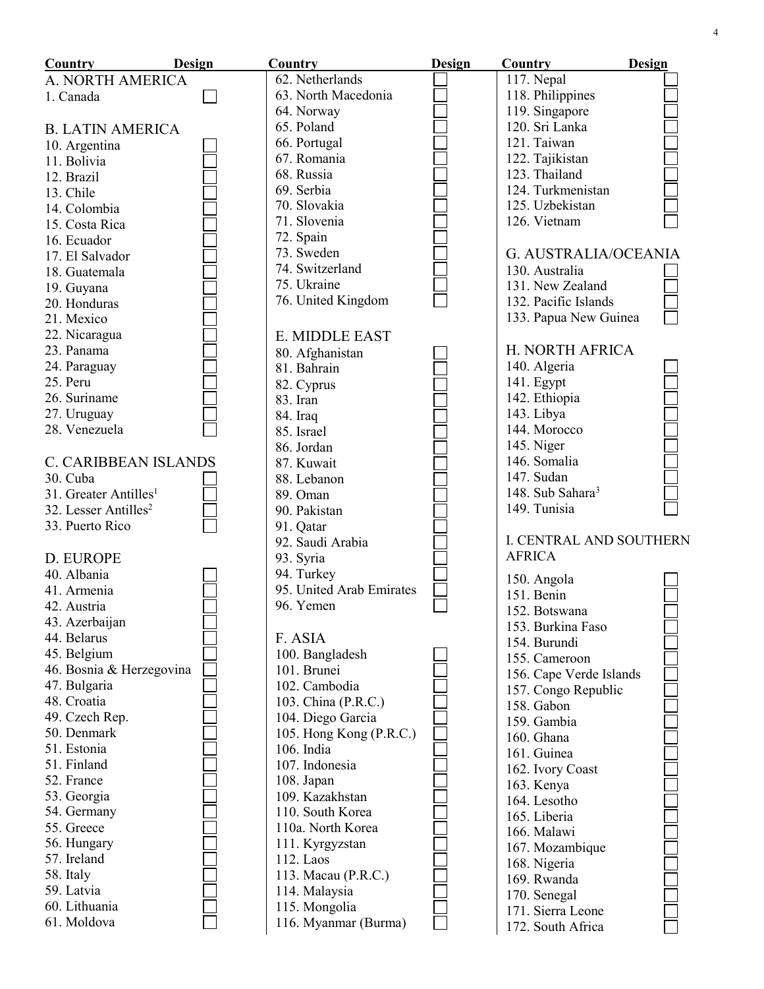| Design<br>Country                 | Country                  | <b>Design</b> | Country                      | Design |
|-----------------------------------|--------------------------|---------------|------------------------------|--------|
| A. NORTH AMERICA                  | 62. Netherlands          |               | 117. Nepal                   |        |
| 1. Canada                         | 63. North Macedonia      |               | 118. Philippines             |        |
|                                   | 64. Norway               |               | 119. Singapore               |        |
| <b>B. LATIN AMERICA</b>           | 65. Poland               |               | 120. Sri Lanka               |        |
| 10. Argentina                     | 66. Portugal             |               | 121. Taiwan                  |        |
| 11. Bolivia                       | 67. Romania              |               | 122. Tajikistan              |        |
| 12. Brazil                        | 68. Russia               |               | 123. Thailand                |        |
| 13. Chile                         | 69. Serbia               |               | 124. Turkmenistan            |        |
| 14. Colombia                      | 70. Slovakia             |               | 125. Uzbekistan              |        |
| 15. Costa Rica                    | 71. Slovenia             |               | 126. Vietnam                 |        |
| 16. Ecuador                       | 72. Spain                |               |                              |        |
| 17. El Salvador                   | 73. Sweden               |               | <b>G. AUSTRALIA/OCEANIA</b>  |        |
| 18. Guatemala                     | 74. Switzerland          |               | 130. Australia               |        |
| 19. Guyana                        | 75. Ukraine              |               | 131. New Zealand             |        |
| 20. Honduras                      | 76. United Kingdom       |               | 132. Pacific Islands         |        |
| 21. Mexico                        |                          |               | 133. Papua New Guinea        |        |
| 22. Nicaragua                     | E. MIDDLE EAST           |               |                              |        |
| 23. Panama                        | 80. Afghanistan          |               | H. NORTH AFRICA              |        |
| 24. Paraguay                      | 81. Bahrain              |               | 140. Algeria                 |        |
| 25. Peru                          | 82. Cyprus               |               | 141. Egypt                   |        |
| 26. Suriname                      | 83. Iran                 |               | 142. Ethiopia                |        |
| 27. Uruguay                       | 84. Iraq                 |               | 143. Libya                   |        |
| 28. Venezuela                     | 85. Israel               |               | 144. Morocco                 |        |
|                                   | 86. Jordan               |               | 145. Niger                   |        |
| <b>C. CARIBBEAN ISLANDS</b>       | 87. Kuwait               |               | 146. Somalia                 |        |
| 30. Cuba                          | 88. Lebanon              |               | 147. Sudan                   |        |
| 31. Greater Antilles <sup>1</sup> | 89. Oman                 |               | 148. Sub Sahara <sup>3</sup> |        |
| 32. Lesser Antilles <sup>2</sup>  | 90. Pakistan             |               | 149. Tunisia                 |        |
| 33. Puerto Rico                   | 91. Qatar                |               |                              |        |
|                                   | 92. Saudi Arabia         |               | I. CENTRAL AND SOUTHERN      |        |
| D. EUROPE                         | 93. Syria                |               | <b>AFRICA</b>                |        |
| 40. Albania                       | 94. Turkey               |               | 150. Angola                  |        |
| 41. Armenia                       | 95. United Arab Emirates |               | 151. Benin                   |        |
| 42. Austria                       | 96. Yemen                |               | 152. Botswana                |        |
| 43. Azerbaijan                    |                          |               | 153. Burkina Faso            |        |
| 44. Belarus                       | F. ASIA                  |               | 154. Burundi                 |        |
| 45. Belgium                       | 100. Bangladesh          |               | 155. Cameroon                |        |
| 46. Bosnia & Herzegovina          | 101. Brunei              |               | 156. Cape Verde Islands      |        |
| 47. Bulgaria                      | 102. Cambodia            |               | 157. Congo Republic          |        |
| 48. Croatia                       | 103. China (P.R.C.)      |               | 158. Gabon                   |        |
| 49. Czech Rep.                    | 104. Diego Garcia        |               | 159. Gambia                  |        |
| 50. Denmark                       | 105. Hong Kong (P.R.C.)  |               | 160. Ghana                   |        |
| 51. Estonia                       | 106. India               |               | 161. Guinea                  |        |
| 51. Finland                       | 107. Indonesia           |               | 162. Ivory Coast             |        |
| 52. France                        | 108. Japan               |               | 163. Kenya                   |        |
| 53. Georgia                       | 109. Kazakhstan          |               | 164. Lesotho                 |        |
| 54. Germany                       | 110. South Korea         |               | 165. Liberia                 |        |
| 55. Greece                        | 110a. North Korea        |               | 166. Malawi                  |        |
| 56. Hungary                       | 111. Kyrgyzstan          |               | 167. Mozambique              |        |
| 57. Ireland                       | 112. Laos                |               | 168. Nigeria                 |        |
| 58. Italy                         | 113. Macau (P.R.C.)      |               | 169. Rwanda                  |        |
| 59. Latvia                        | 114. Malaysia            |               | 170. Senegal                 |        |
| 60. Lithuania                     | 115. Mongolia            |               | 171. Sierra Leone            |        |
| 61. Moldova                       | 116. Myanmar (Burma)     |               | 172. South Africa            |        |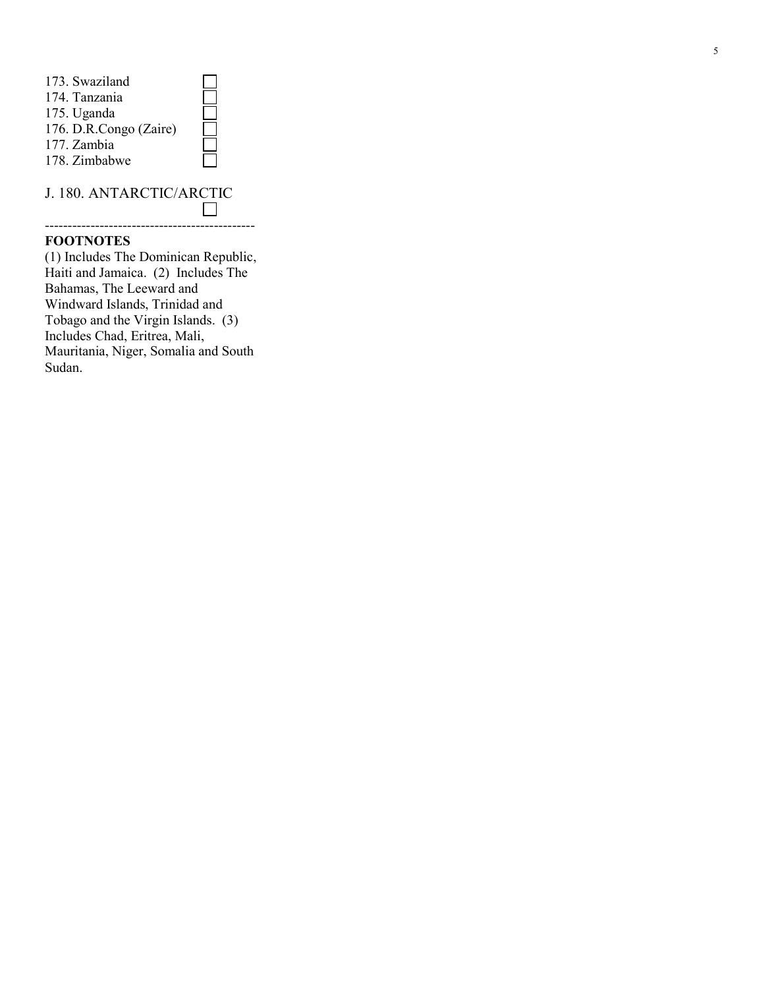| 173. Swaziland         |  |
|------------------------|--|
| 174. Tanzania          |  |
| 175. Uganda            |  |
| 176. D.R.Congo (Zaire) |  |
| 177. Zambia            |  |
| 178. Zimbabwe          |  |
|                        |  |

J. 180. ANTARCTIC/ARCTIC  $\Box$ 

----------------------------------------------

## **FOOTNOTES**

(1) Includes The Dominican Republic, Haiti and Jamaica. (2) Includes The Bahamas, The Leeward and Windward Islands, Trinidad and Tobago and the Virgin Islands. (3) Includes Chad, Eritrea, Mali, Mauritania, Niger, Somalia and South Sudan.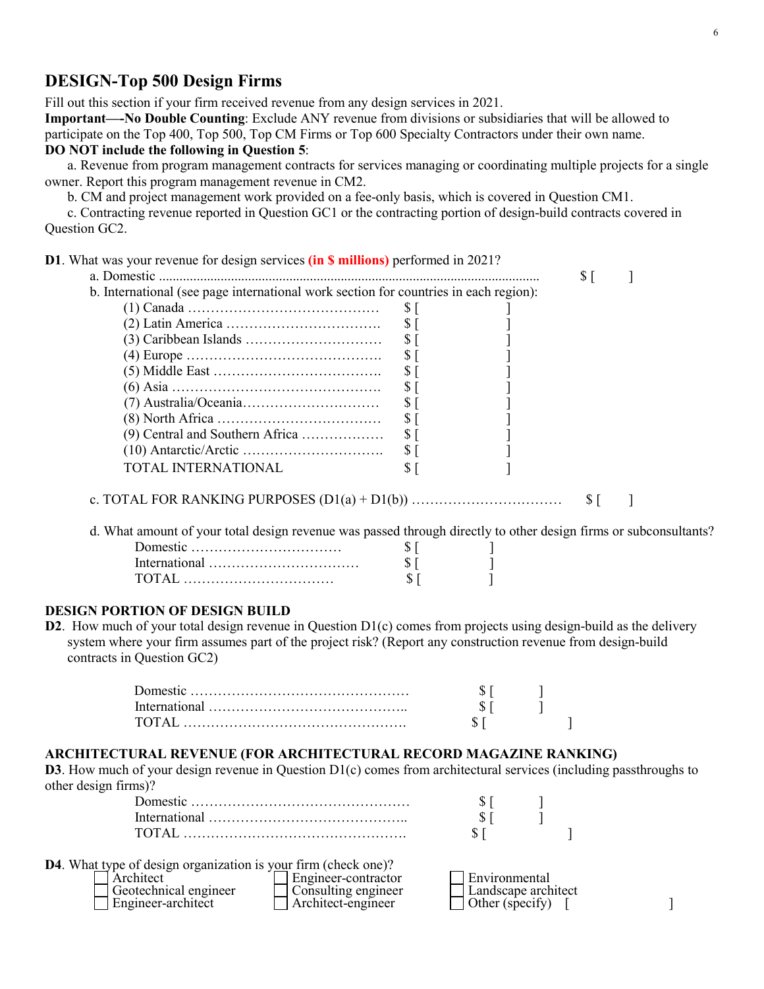# **DESIGN-Top 500 Design Firms**

Fill out this section if your firm received revenue from any design services in 2021.

**Important—-No Double Counting**: Exclude ANY revenue from divisions or subsidiaries that will be allowed to participate on the Top 400, Top 500, Top CM Firms or Top 600 Specialty Contractors under their own name.

#### **DO NOT include the following in Question 5**:

a. Revenue from program management contracts for services managing or coordinating multiple projects for a single owner. Report this program management revenue in CM2.

b. CM and project management work provided on a fee-only basis, which is covered in Question CM1.

c. Contracting revenue reported in Question GC1 or the contracting portion of design-build contracts covered in Question GC2.

| <b>D1</b> . What was your revenue for design services (in <b>\$ millions</b> ) performed in 2021?                |                 |            |  |
|------------------------------------------------------------------------------------------------------------------|-----------------|------------|--|
|                                                                                                                  |                 | $\sqrt{5}$ |  |
| b. International (see page international work section for countries in each region):                             |                 |            |  |
|                                                                                                                  | $S[\ ]$         |            |  |
|                                                                                                                  | $\sqrt{5}$      |            |  |
|                                                                                                                  | $\sqrt{S}$      |            |  |
|                                                                                                                  | $\sqrt{S}$      |            |  |
|                                                                                                                  | $\sqrt{S}$      |            |  |
|                                                                                                                  | $\sqrt{S}$      |            |  |
|                                                                                                                  | \$ <sub>1</sub> |            |  |
|                                                                                                                  | $$$ [           |            |  |
| $(9)$ Central and Southern Africa                                                                                | $$$ [           |            |  |
|                                                                                                                  | S <sub>1</sub>  |            |  |
| TOTAL INTERNATIONAL                                                                                              | \$I             |            |  |
|                                                                                                                  |                 | $S[\ ]$    |  |
| d. What amount of your total design revenue was passed through directly to other design firms or subconsultants? |                 |            |  |
|                                                                                                                  | $\sqrt{5}$      |            |  |
|                                                                                                                  | S <sub>1</sub>  |            |  |
|                                                                                                                  | $\sqrt{5}$      |            |  |
|                                                                                                                  |                 |            |  |
| <b>DESIGN PORTION OF DESIGN BUILD</b>                                                                            |                 |            |  |

system where your firm assumes part of the project risk? (Report any construction revenue from design-build contracts in Question GC2)

#### **ARCHITECTURAL REVENUE (FOR ARCHITECTURAL RECORD MAGAZINE RANKING)**

**D3**. How much of your design revenue in Question D1(c) comes from architectural services (including passthroughs to other design firms)?

| <b>D4</b> . What type of design organization is your firm (check one)? |                     |                     |  |
|------------------------------------------------------------------------|---------------------|---------------------|--|
| Architect                                                              | Engineer-contractor | l Environmental     |  |
| Geotechnical engineer                                                  | Consulting engineer | Landscape architect |  |
| Engineer-architect                                                     | Architect-engineer  | Other (specify)     |  |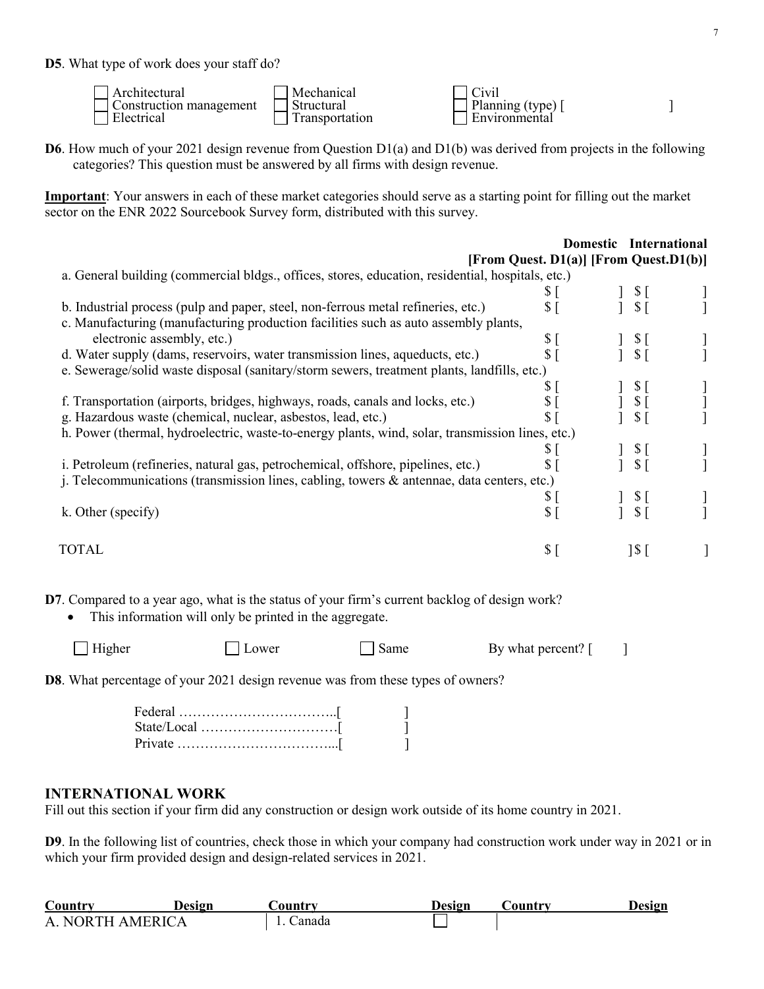**D5**. What type of work does your staff do?

| . Architectural                       | Mechanical      | Civil           |  |
|---------------------------------------|-----------------|-----------------|--|
| Construction management<br>Electrical | Structural      | Planning (type) |  |
|                                       | l ransportation | Environmental   |  |

**D6**. How much of your 2021 design revenue from Question D1(a) and D1(b) was derived from projects in the following categories? This question must be answered by all firms with design revenue.

**Important**: Your answers in each of these market categories should serve as a starting point for filling out the market sector on the ENR 2022 Sourcebook Survey form, distributed with this survey.

|                                                                                                   |                                        |                 | Domestic International |
|---------------------------------------------------------------------------------------------------|----------------------------------------|-----------------|------------------------|
|                                                                                                   | [From Quest. D1(a)] [From Quest.D1(b)] |                 |                        |
| a. General building (commercial bldgs., offices, stores, education, residential, hospitals, etc.) |                                        |                 |                        |
|                                                                                                   | \$[                                    | $S_{\Gamma}$    |                        |
| b. Industrial process (pulp and paper, steel, non-ferrous metal refineries, etc.)                 | $\frac{1}{2}$                          | S <sub>1</sub>  |                        |
| c. Manufacturing (manufacturing production facilities such as auto assembly plants,               |                                        |                 |                        |
| electronic assembly, etc.)                                                                        | \$[                                    | $\S$ [          |                        |
| d. Water supply (dams, reservoirs, water transmission lines, aqueducts, etc.)                     | S <sub>1</sub>                         | \$I             |                        |
| e. Sewerage/solid waste disposal (sanitary/storm sewers, treatment plants, landfills, etc.)       |                                        |                 |                        |
|                                                                                                   | S.                                     | $S_{\Gamma}$    |                        |
| f. Transportation (airports, bridges, highways, roads, canals and locks, etc.)                    |                                        | $\S$ [          |                        |
| g. Hazardous waste (chemical, nuclear, asbestos, lead, etc.)                                      |                                        | $\sqrt{5}$      |                        |
| h. Power (thermal, hydroelectric, waste-to-energy plants, wind, solar, transmission lines, etc.)  |                                        |                 |                        |
|                                                                                                   | S.                                     | $\mathcal{S}$ [ |                        |
| i. Petroleum (refineries, natural gas, petrochemical, offshore, pipelines, etc.)                  | $\mathbb{S}$                           | \$I             |                        |
| j. Telecommunications (transmission lines, cabling, towers & antennae, data centers, etc.)        |                                        |                 |                        |
|                                                                                                   | $\mathbb{S}$                           | $\mathcal{S}$ [ |                        |
| k. Other (specify)                                                                                | $\mathbb{S}$                           |                 |                        |
|                                                                                                   |                                        |                 |                        |
| TOTAL                                                                                             | $\sqrt{S}$                             | $1\$            |                        |
|                                                                                                   |                                        |                 |                        |

**D7**. Compared to a year ago, what is the status of your firm's current backlog of design work?

• This information will only be printed in the aggregate.

| $\Box$ Higher | Lower | Same | By what percent? |
|---------------|-------|------|------------------|
|               |       |      |                  |

**D8**. What percentage of your 2021 design revenue was from these types of owners?

# **INTERNATIONAL WORK**

Fill out this section if your firm did any construction or design work outside of its home country in 2021.

**D9**. In the following list of countries, check those in which your company had construction work under way in 2021 or in which your firm provided design and design-related services in 2021.

| Country                       | Design | .)ountrv | Design | Jountry | Design |
|-------------------------------|--------|----------|--------|---------|--------|
| NORTH AMERICA<br>$\mathbf{A}$ |        | Canada   |        |         |        |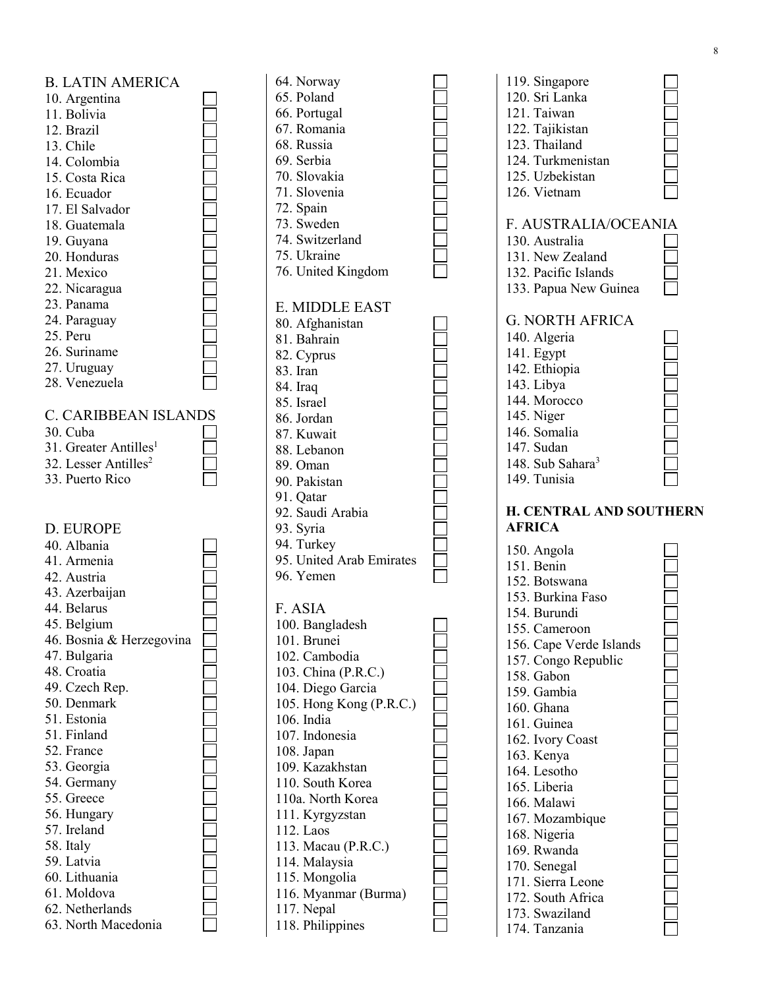| <b>B. LATIN AMERICA</b>                  |  |
|------------------------------------------|--|
| 10. Argentina                            |  |
| 11. Bolivia                              |  |
| 12. Brazil                               |  |
| 13. Chile                                |  |
| 14. Colombia                             |  |
| 15. Costa Rica                           |  |
| 16. Ecuador                              |  |
| 17. El Salvador                          |  |
| 18. Guatemala                            |  |
| 19. Guyana                               |  |
| 20. Honduras                             |  |
| 21. Mexico                               |  |
| 22. Nicaragua                            |  |
| 23. Panama                               |  |
| 24. Paraguay                             |  |
| 25. Peru                                 |  |
| 26. Suriname                             |  |
| 27. Uruguay                              |  |
| 28. Venezuela                            |  |
| <b>C. CARIBBEAN ISLANDS</b>              |  |
| 30. Cuba                                 |  |
| 31. Greater Antilles <sup>1</sup>        |  |
| 32. Lesser Antilles <sup>2</sup>         |  |
| 33. Puerto Rico                          |  |
|                                          |  |
|                                          |  |
|                                          |  |
|                                          |  |
| D. EUROPE<br>40. Albania                 |  |
| 41. Armenia                              |  |
| 42. Austria                              |  |
|                                          |  |
| 43. Azerbaijan                           |  |
| 44. Belarus                              |  |
| 45. Belgium                              |  |
| 46. Bosnia & Herzegovina<br>47. Bulgaria |  |
| 48. Croatia                              |  |
| 49. Czech Rep.                           |  |
| 50. Denmark                              |  |
| 51. Estonia                              |  |
| 51. Finland                              |  |
| 52. France                               |  |
| 53. Georgia                              |  |
| 54. Germany                              |  |
| 55. Greece                               |  |
| 56. Hungary                              |  |
| 57. Ireland                              |  |
| 58. Italy                                |  |
| 59. Latvia                               |  |
| 60. Lithuania                            |  |
| 61. Moldova                              |  |
| 62. Netherlands<br>63. North Macedonia   |  |

| 64. Norway<br>65. Poland<br>66. Portugal<br>67. Romania<br>68. Russia<br>69. Serbia<br>70. Slovakia<br>71. Slovenia<br>72. Spain<br>73. Sweden<br>74. Switzerland<br>75. Ukraine<br>76. United Kingdom                                                                                                                                                                                         |  |
|------------------------------------------------------------------------------------------------------------------------------------------------------------------------------------------------------------------------------------------------------------------------------------------------------------------------------------------------------------------------------------------------|--|
| E. MIDDLE EAST<br>80. Afghanistan<br>81. Bahrain<br>82. Cyprus<br>83. Iran<br>84. Iraq<br>85. Israel<br>86. Jordan<br>87. Kuwait<br>88. Lebanon<br>89. Oman<br>90. Pakistan<br>91. Qatar<br>92. Saudi Arabia<br>93. Syria<br>94. Turkey<br>95. United Arab Emirates<br>96. Yemen                                                                                                               |  |
| F. ASIA<br>100. Bangladesh<br>101. Brunei<br>102. Cambodia<br>103. China (P.R.C.)<br>104. Diego Garcia<br>105. Hong Kong (P.R.C.)<br>106. India<br>107. Indonesia<br>108. Japan<br>109. Kazakhstan<br>110. South Korea<br>110a. North Korea<br>111. Kyrgyzstan<br>112. Laos<br>113. Macau (P.R.C.)<br>114. Malaysia<br>115. Mongolia<br>116. Myanmar (Burma)<br>117. Nepal<br>118. Philippines |  |

| 119. Singapore<br>120. Sri Lanka<br>121. Taiwan<br>122. Tajikistan<br>123. Thailand<br>124. Turkmenistan<br>125. Uzbekistan<br>126. Vietnam                                                     |  |
|-------------------------------------------------------------------------------------------------------------------------------------------------------------------------------------------------|--|
| F. AUSTRALIA/OCEANIA<br>130. Australia<br>131. New Zealand<br>132. Pacific Islands<br>133. Papua New Guinea                                                                                     |  |
| <b>G. NORTH AFRICA</b><br>140. Algeria<br>141. Egypt<br>142. Ethiopia<br>143. Libya<br>144. Morocco<br>145. Niger<br>146. Somalia<br>147. Sudan<br>148. Sub Sahara <sup>3</sup><br>149. Tunisia |  |
| <b>H. CENTRAL AND SOUTHERN</b><br><b>AFRICA</b>                                                                                                                                                 |  |
|                                                                                                                                                                                                 |  |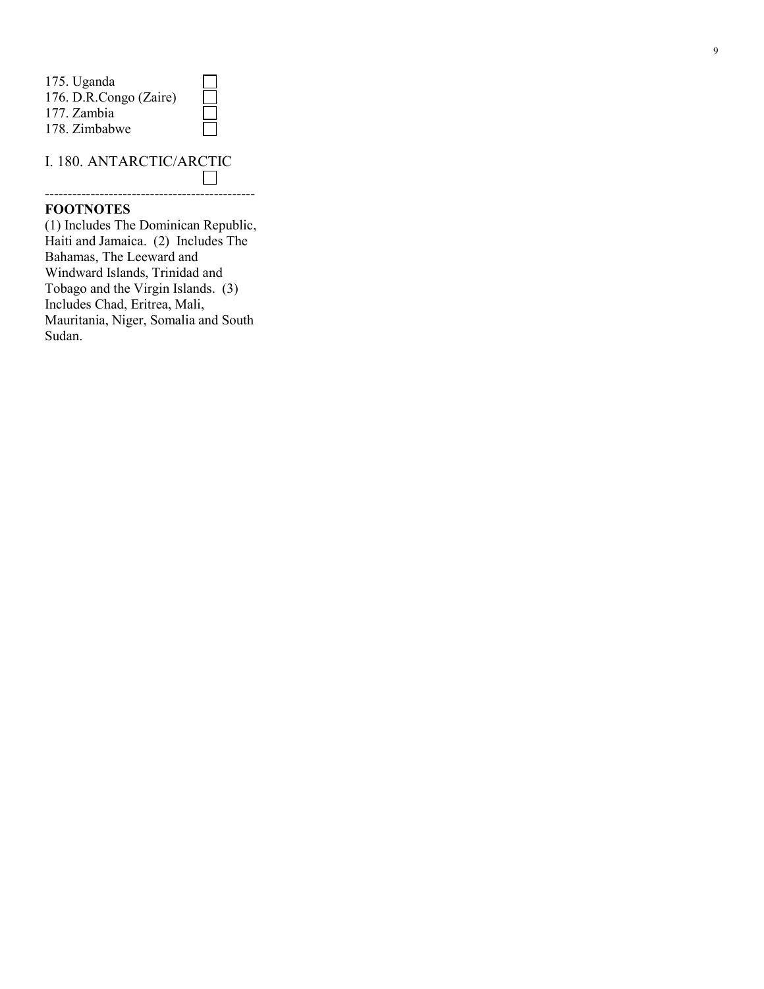| 175. Uganda            |  |
|------------------------|--|
| 176. D.R.Congo (Zaire) |  |
| 177. Zambia            |  |
| 178. Zimbabwe          |  |

# I. 180. ANTARCTIC/ARCTIC

----------------------------------------------

#### **FOOTNOTES**

(1) Includes The Dominican Republic, Haiti and Jamaica. (2) Includes The Bahamas, The Leeward and Windward Islands, Trinidad and Tobago and the Virgin Islands. (3) Includes Chad, Eritrea, Mali, Mauritania, Niger, Somalia and South Sudan.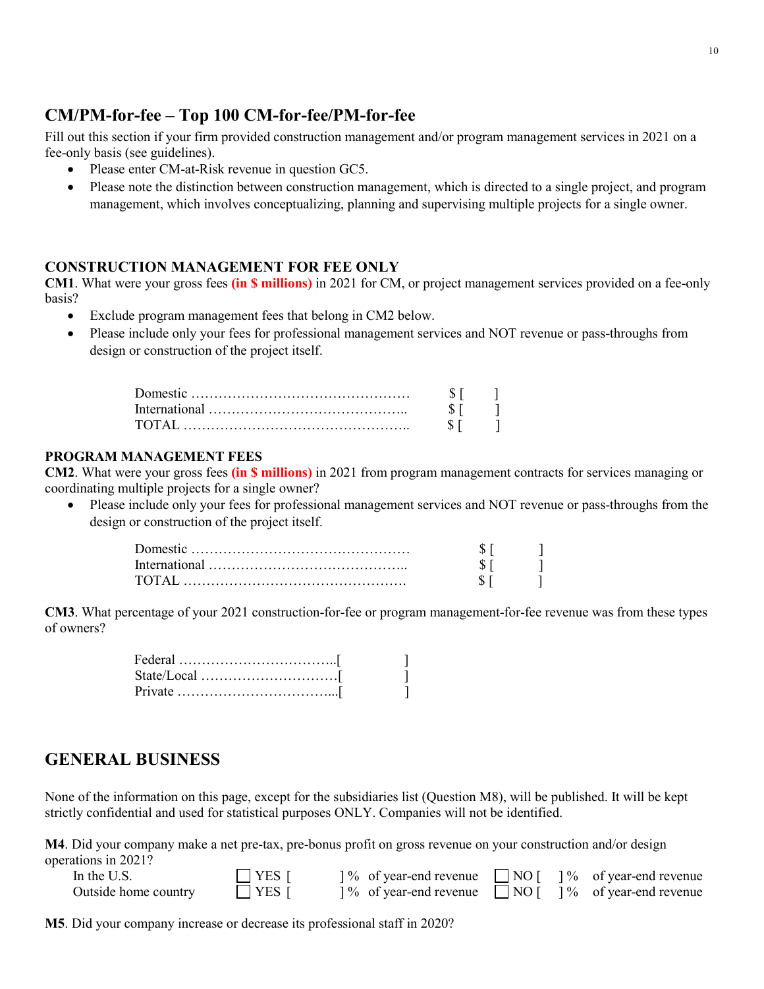# **CM/PM-for-fee – Top 100 CM-for-fee/PM-for-fee**

Fill out this section if your firm provided construction management and/or program management services in 2021 on a fee-only basis (see guidelines).

- Please enter CM-at-Risk revenue in question GC5.
- Please note the distinction between construction management, which is directed to a single project, and program management, which involves conceptualizing, planning and supervising multiple projects for a single owner.

## **CONSTRUCTION MANAGEMENT FOR FEE ONLY**

**CM1**. What were your gross fees **(in \$ millions)** in 2021 for CM, or project management services provided on a fee-only basis?

- Exclude program management fees that belong in CM2 below.
- Please include only your fees for professional management services and NOT revenue or pass-throughs from design or construction of the project itself.

#### **PROGRAM MANAGEMENT FEES**

**CM2**. What were your gross fees **(in \$ millions)** in 2021 from program management contracts for services managing or coordinating multiple projects for a single owner?

• Please include only your fees for professional management services and NOT revenue or pass-throughs from the design or construction of the project itself.

| T(Y Y) |  |
|--------|--|

**CM3**. What percentage of your 2021 construction-for-fee or program management-for-fee revenue was from these types of owners?

| $Private \dots \dots \dots \dots \dots \dots \dots \dots \dots \dots \dots$ |  |
|-----------------------------------------------------------------------------|--|

# **GENERAL BUSINESS**

None of the information on this page, except for the subsidiaries list (Question M8), will be published. It will be kept strictly confidential and used for statistical purposes ONLY. Companies will not be identified.

**M4**. Did your company make a net pre-tax, pre-bonus profit on gross revenue on your construction and/or design operations in 2021?

| In the U.S.          | $\Box$ YES [ | % of year-end revenue NO    % of year-end revenue   |  |  |
|----------------------|--------------|-----------------------------------------------------|--|--|
| Outside home country | $\Box$ YES [ | 1% of year-end revenue □NO [ 1% of year-end revenue |  |  |

**M5**. Did your company increase or decrease its professional staff in 2020?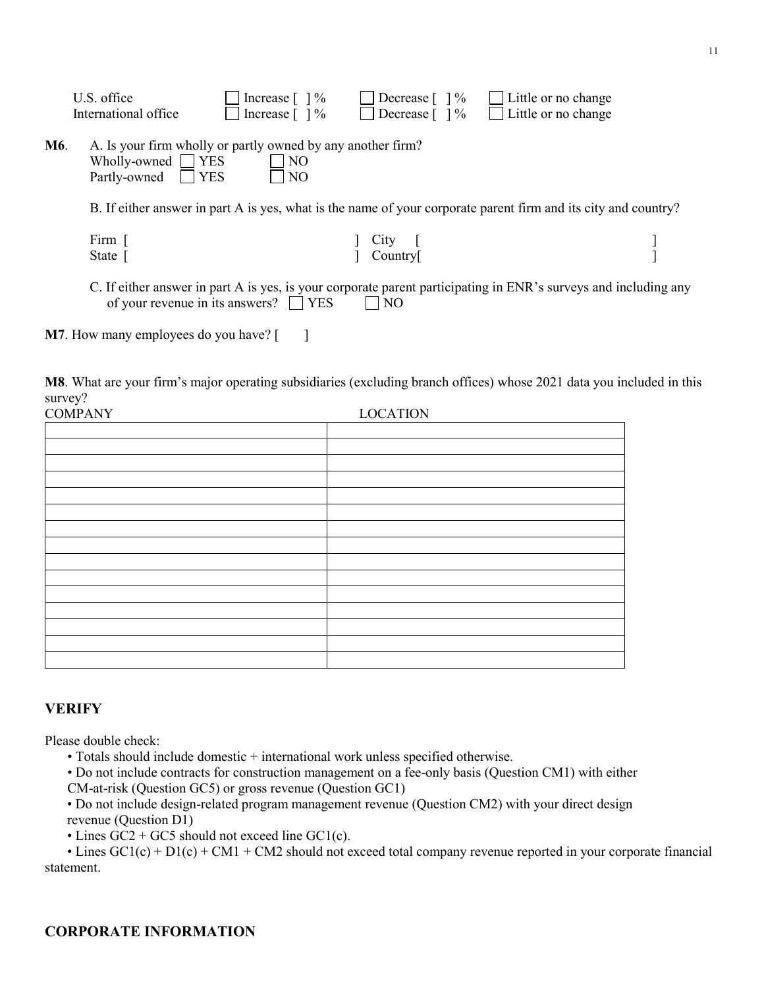|                                                                                                                                                                          | U.S. office<br>International office                                                                                                                      | Increase $\lceil \ \rceil \%$<br>Increase $\lceil \ \rceil \%$ | Decrease $\lceil \ \rceil \%$<br>Decrease $\lceil \ \rceil \%$ | Little or no change<br>Little or no change |  |  |  |  |  |
|--------------------------------------------------------------------------------------------------------------------------------------------------------------------------|----------------------------------------------------------------------------------------------------------------------------------------------------------|----------------------------------------------------------------|----------------------------------------------------------------|--------------------------------------------|--|--|--|--|--|
| M6.                                                                                                                                                                      | A. Is your firm wholly or partly owned by any another firm?<br>Wholly-owned $\Box$ YES<br>N <sub>O</sub><br>$\Box$ YES<br>Partly-owned<br>N <sub>O</sub> |                                                                |                                                                |                                            |  |  |  |  |  |
|                                                                                                                                                                          | B. If either answer in part A is yes, what is the name of your corporate parent firm and its city and country?                                           |                                                                |                                                                |                                            |  |  |  |  |  |
|                                                                                                                                                                          | Firm<br>State                                                                                                                                            |                                                                | City<br>Country                                                |                                            |  |  |  |  |  |
| C. If either answer in part A is yes, is your corporate parent participating in ENR's surveys and including any<br>of your revenue in its answers? YES<br>N <sub>O</sub> |                                                                                                                                                          |                                                                |                                                                |                                            |  |  |  |  |  |
|                                                                                                                                                                          | <b>M7.</b> How many employees do you have? [                                                                                                             |                                                                |                                                                |                                            |  |  |  |  |  |

**M8**. What are your firm's major operating subsidiaries (excluding branch offices) whose 2021 data you included in this survey?

| <b>COMPANY</b> | <b>LOCATION</b> |
|----------------|-----------------|
|                |                 |
|                |                 |
|                |                 |
|                |                 |
|                |                 |
|                |                 |
|                |                 |
|                |                 |
|                |                 |
|                |                 |
|                |                 |
|                |                 |
|                |                 |
|                |                 |
|                |                 |

# **VERIFY**

Please double check:

• Totals should include domestic + international work unless specified otherwise.

• Do not include contracts for construction management on a fee-only basis (Question CM1) with either CM-at-risk (Question GC5) or gross revenue (Question GC1)

• Do not include design-related program management revenue (Question CM2) with your direct design revenue (Question D1)

• Lines  $GC2 + GC5$  should not exceed line  $GC1(c)$ .

• Lines  $GC1(c) + D1(c) + CM1 + CM2$  should not exceed total company revenue reported in your corporate financial statement.

# **CORPORATE INFORMATION**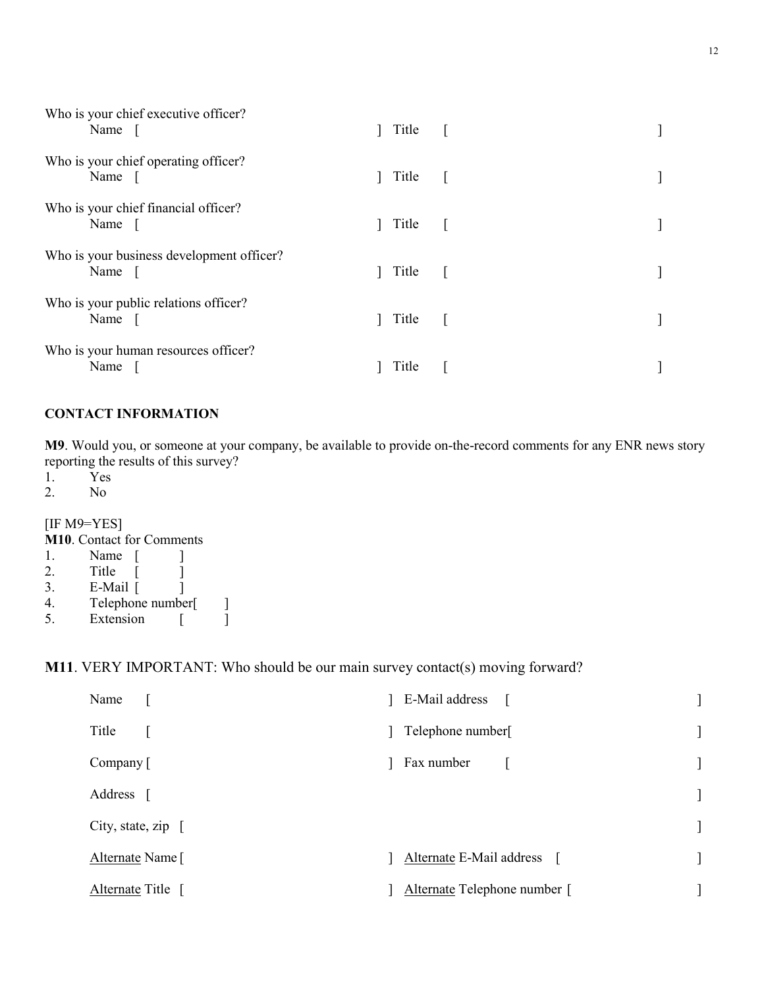| Who is your chief executive officer?<br>Name [        | Title [ |           |  |
|-------------------------------------------------------|---------|-----------|--|
| Who is your chief operating officer?<br>Name [        | Title   |           |  |
| Who is your chief financial officer?<br>Name $\lceil$ | Title   | $\sim$ 1. |  |
| Who is your business development officer?<br>Name     | Title   | $\sim$ 1. |  |
| Who is your public relations officer?<br>Name [       | Title   |           |  |
| Who is your human resources officer?<br>Name          | Title   |           |  |

# **CONTACT INFORMATION**

**M9**. Would you, or someone at your company, be available to provide on-the-record comments for any ENR news story reporting the results of this survey?<br>1. Yes

- 1. Yes
- 2. No

[IF M9=YES]

**M10**. Contact for Comments 1. Name [ ] 2. Title [ ] 3. E-Mail [ ] 4. Telephone number[ ]<br>5. Extension [ ] Extension [

# **M11**. VERY IMPORTANT: Who should be our main survey contact(s) moving forward?

| Name                   | E-Mail address               |  |
|------------------------|------------------------------|--|
| Title                  | Telephone number[            |  |
| Company [              | Fax number                   |  |
| Address [              |                              |  |
| City, state, $zip \ [$ |                              |  |
| Alternate Name [       | Alternate E-Mail address [   |  |
| Alternate Title [      | Alternate Telephone number [ |  |